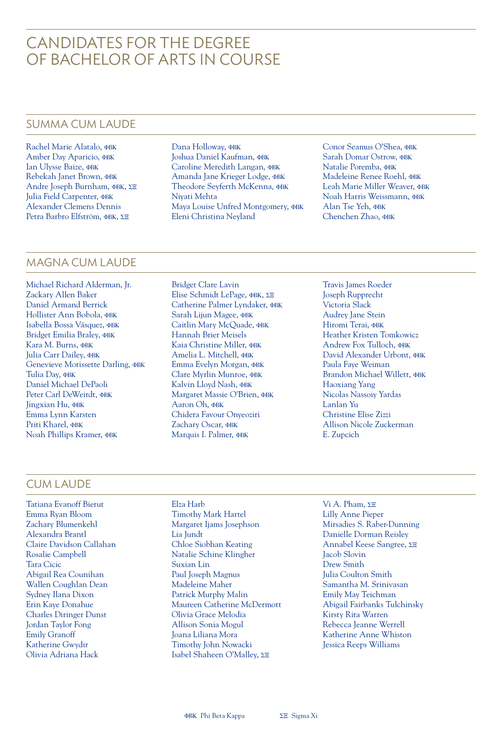## CANDIDATES FOR THE DEGREE OF BACHELOR OF ARTS IN COURSE

### SUMMA CUM LAUDE

Rachel Marie Alatalo, **OBK** Amber Day Aparicio, **OBK** Ian Ulysse Baize, **QBK** Rebekah Janet Brown, **OBK** Andre Joseph Burnham, ΦΒΚ, ΣΞ Julia Field Carpenter, **OBK** Alexander Clemens Dennis Petra Barbro Elfström, ØBK, ∑E

Dana Holloway, **OBK** Joshua Daniel Kaufman, **QBK** Caroline Meredith Langan, OBK Amanda Jane Krieger Lodge, **OBK** Theodore Seyferth McKenna, ФВК Niyati Mehta Maya Louise Unfred Montgomery, **OBK** Eleni Christina Neyland

Conor Seamus O'Shea, ¢BK Sarah Domar Ostrow, **QBK** Natalie Poremba, ФВК Madeleine Renee Roehl, **OBK** Leah Marie Miller Weaver, **PBK** Noah Harris Weissmann, **OBK** Alan Tse Yeh, **OBK** Chenchen Zhao, **OBK** 

## MAGNA CUM LAUDE

Michael Richard Alderman, Jr. Zackary Allen Baker Daniel Armand Berrick Hollister Ann Bobola, **QBK** Isabella Bossa Vásquez, «BK Bridget Emilia Braley, **OBK** Kara M. Burns, **OBK** Julia Carr Dailey, **OBK** Genevieve Morissette Darling, **OBK** Tulia Day, **OBK** Daniel Michael DePaoli Peter Carl DeWeirdt, OBK Jingxian Hu, **QBK** Emma Lynn Karsten Priti Kharel, **OBK** Noah Phillips Kramer, ¢BK

Bridget Clare Lavin Elise Schmidt LePage, ФВК, ΣΞ Catherine Palmer Lyndaker, OBK Sarah Lijun Magee, **OBK** Caitlin Mary McQuade, **OBK** Hannah Brier Meisels Kaia Christine Miller, ФВК Amelia L. Mitchell, ФВК Emma Evelyn Morgan, ФВК Clare Myrlin Munroe, **OBK** Kalvin Lloyd Nash, **OBK** Margaret Massie O'Brien, **OBK** Aaron Oh, **OBK** Chidera Favour Onyeoziri Zachary Oscar, **QBK** Marquis I. Palmer, **OBK** 

Travis James Roeder Joseph Rupprecht Victoria Slack Audrey Jane Stein Hiromi Terai, ФВК Heather Kristen Tomkowicz Andrew Fox Tulloch, **OBK** David Alexander Urbont, ¢BK Paula Faye Weiman Brandon Michael Willett, **OBK** Haoxiang Yang Nicolas Nassoiy Yardas Lanlan Yu Christine Elise Zizzi Allison Nicole Zuckerman E. Zupcich

## CUM LAUDE

- Tatiana Evanoff Bierut Emma Ryan Bloom Zachary Blumenkehl Alexandra Brantl Claire Davidson Callahan Rosalie Campbell Tara Cicic Abigail Rea Counihan Wallen Coughlan Dean Sydney Ilana Dixon Erin Kaye Donahue Charles Diringer Dunst Jordan Taylor Fong Emily Granoff Katherine Gwydir Olivia Adriana Hack
- Elza Harb Timothy Mark Hartel Margaret Ijams Josephson Lia Jundt Chloe Siobhan Keating Natalie Schine Klingher Suxian Lin Paul Joseph Magnus Madeleine Maher Patrick Murphy Malin Maureen Catherine McDermott Olivia Grace Melodia Allison Sonia Mogul Joana Liliana Mora Timothy John Nowacki Isabel Shaheen O'Malley,  $\Sigma \equiv$
- Vi A. Pham,  $\Sigma\Xi$ Lilly Anne Pieper Mirsadies S. Raber-Dunning Danielle Dorman Reisley Annabel Keese Sangree,  $\Sigma$ E Jacob Slovin Drew Smith Julia Coulton Smith Samantha M. Srinivasan Emily May Teichman Abigail Fairbanks Tulchinsky Kirsty Rita Warren Rebecca Jeanne Werrell Katherine Anne Whiston Jessica Reeps Williams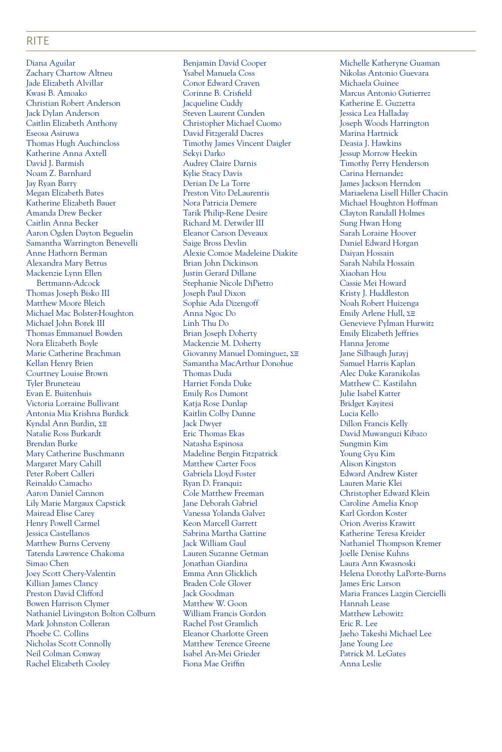#### RITE

Diana Aguilar Zachary Chartow Altneu Jade Elizabeth Alvillar Kwasi B. Amoako Christian Robert Anderson Jack Dylan Anderson Caitlin Elizabeth Anthony Eseosa Asiruwa Thomas Hugh Auchincloss Katherine Anna Axtell David J. Barmish Noam Z. Barnhard Jay Ryan Barry Megan Elizabeth Bates Katherine Elizabeth Bauer Amanda Drew Becker Caitlin Anna Becker Aaron Ogden Dayton Beguelin Samantha Warrington Benevelli Anne Hathorn Berman Alexandra Mary Betrus Mackenzie Lynn Ellen Bettmann-Adcock Thomas Joseph Bisko III Matthew Moore Bleich Michael Mac Bolster-Houghton Michael John Borek III Thomas Emmanuel Bowden Nora Elizabeth Boyle Marie Catherine Brachman Kellan Henry Brien Courtney Louise Brown Tyler Bruneteau Evan E. Buitenhuis Victoria Lorraine Bullivant Antonia Mia Krishna Burdick Kyndal Ann Burdin,  $\Sigma \equiv$ Natalie Ross Burkardt Brendan Burke Mary Catherine Buschmann Margaret Mary Cahill Peter Robert Calleri Reinaldo Camacho Aaron Daniel Cannon Lily Marie Margaux Capstick Mairead Elise Carey Henry Powell Carmel Jessica Castellanos Matthew Burns Cerveny Tatenda Lawrence Chakoma Simao Chen Joey Scott Chery-Valentin Killian James Clancy Preston David Clifford Bowen Harrison Clymer Nathaniel Livingston Bolton Colburn Mark Johnston Colleran Phoebe C. Collins Nicholas Scott Connolly Neil Colman Conway Rachel Elizabeth Cooley

Benjamin David Cooper Ysabel Manuela Coss Conor Edward Craven Corinne B. Crisfield Jacqueline Cuddy Steven Laurent Cunden Christopher Michael Cuomo David Fitzgerald Dacres Timothy James Vincent Daigler Sekyi Darko Audrey Claire Darnis Kylie Stacy Davis Derian De La Torre Preston Vito DeLaurentis Nora Patricia Demere Tarik Philip-Rene Desire Richard M. Detwiler III Eleanor Carson Deveaux Saige Bross Devlin Alexie Comoe Madeleine Diakite Brian John Dickinson Justin Gerard Dillane Stephanie Nicole DiPietro Joseph Paul Dixon Sophie Ada Dizengoff Anna Ngoc Do Linh Thu Do Brian Joseph Doherty Mackenzie M. Doherty Giovanny Manuel Dominguez,  $\Sigma\Xi$ Samantha MacArthur Donohue Thomas Duda Harriet Fonda Duke Emily Ros Dumont Katja Rose Dunlap Kaitlin Colby Dunne Jack Dwyer Eric Thomas Ekas Natasha Espinosa Madeline Bergin Fitzpatrick Matthew Carter Foos Gabriela Lloyd Foster Ryan D. Franquiz Cole Matthew Freeman Jane Deborah Gabriel Vanessa Yolanda Galvez Keon Marcell Garrett Sabrina Martha Gattine Jack William Gaul Lauren Suzanne Getman Jonathan Giardina Emma Ann Glicklich Braden Cole Glover Jack Goodman Matthew W. Goon William Francis Gordon Rachel Post Gramlich Eleanor Charlotte Green Matthew Terence Greene Isabel An-Mei Grieder Fiona Mae Griffin

Michelle Katheryne Guaman Nikolas Antonio Guevara Michaela Guinee Marcus Antonio Gutierrez Katherine E. Guzzetta Jessica Lea Halladay Joseph Woods Harrington Marina Hartnick Deasia J. Hawkins Jessup Morrow Heekin Timothy Perry Henderson Carina Hernandez James Jackson Herndon Mariaelena Lisell Hiller Chacin Michael Houghton Hoffman Clayton Randall Holmes Sung Hwan Hong Sarah Loraine Hoover Daniel Edward Horgan Daiyan Hossain Sarah Nabila Hossain Xiaohan Hou Cassie Mei Howard Kristy J. Huddleston Noah Robert Huizenga Emily Arlene Hull,  $\Sigma\Xi$ Genevieve Pylman Hurwitz Emily Elizabeth Jeffries Hanna Jerome Jane Silbaugh Jurayj Samuel Harris Kaplan Alec Duke Karanikolas Matthew C. Kastilahn Julie Isabel Katter Bridget Kayitesi Lucia Kello Dillon Francis Kelly David Muwanguzi Kibazo Sungmin Kim Young Gyu Kim Alison Kingston Edward Andrew Kister Lauren Marie Klei Christopher Edward Klein Caroline Amelia Knop Karl Gordon Koster Orion Averiss Krawitt Katherine Teresa Kreider Nathaniel Thompson Kremer Joelle Denise Kuhns Laura Ann Kwasnoski Helena Dorothy LaPorte-Burns James Eric Larson Maria Frances Lazgin Ciercielli Hannah Lease Matthew Lebowitz Eric R. Lee Jaeho Takeshi Michael Lee Jane Young Lee Patrick M. LeGates Anna Leslie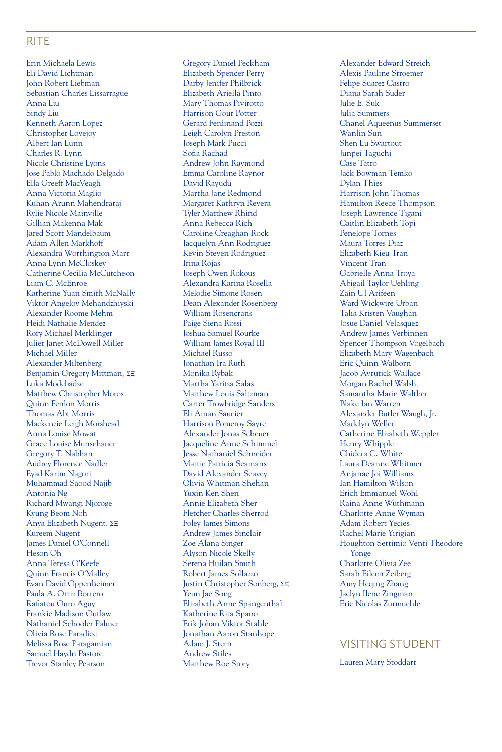#### RITE

Erin Michaela Lewis Eli David Lichtman John Robert Liebman Sebastian Charles Lissarrague Anna Liu Sindy Liu Kenneth Aaron Lopez Christopher Lovejoy Albert Ian Lunn Charles R. Lynn Nicole Christine Lyons Jose Pablo Machado Delgado Ella Greeff MacVeagh Anna Victoria Maglio Kuhan Arunn Mahendraraj Rylie Nicole Mainville Gillian Makenna Mak Jared Scott Mandelbaum Adam Allen Markhoff Alexandra Worthington Marr Anna Lynn McCloskey Catherine Cecilia McCutcheon Liam C. McEnroe Katherine Yuan Smith McNally Viktor Angelov Mehandzhiyski Alexander Roome Mehm Heidi Nathalie Mendez Rory Michael Merklinger Juliet Janet McDowell Miller Michael Miller Alexander Miltenberg Benjamin Gregory Mittman,  $\Sigma\Xi$ Luka Modebadze Matthew Christopher Moros Quinn Fenlon Morris Thomas Abt Morris Mackenzie Leigh Morshead Anna Louise Mowat Grace Louise Munschauer Gregory T. Nabhan Audrey Florence Nadler Eyad Karim Nagori Muhammad Saood Najib Antonia Ng Richard Mwangi Njoroge Kyung Beom Noh Anya Elizabeth Nugent,  $\Sigma\Xi$ Kureem Nugent James Daniel O'Connell Heson Oh Anna Teresa O'Keefe Quinn Francis O'Malley Evan David Oppenheimer Paula A. Ortiz Borrero Rafiatou Ouro Aguy Frankie Madison Outlaw Nathaniel Schooler Palmer Olivia Rose Paradice Melissa Rose Paragamian Samuel Haydn Pastore Trevor Stanley Pearson

Gregory Daniel Peckham Elizabeth Spencer Perry Darby Jenifer Philbrick Elizabeth Ariella Pinto Mary Thomas Pivirotto Harrison Gour Potter Gerard Ferdinand Pozzi Leigh Carolyn Preston Joseph Mark Pucci Sofia Rachad Andrew John Raymond Emma Caroline Raynor David Rayudu Martha Jane Redmond Margaret Kathryn Revera Tyler Matthew Rhind Anna Rebecca Rich Caroline Creaghan Rock Jacquelyn Ann Rodriguez Kevin Steven Rodriguez Irina Rojas Joseph Owen Rokous Alexandra Karina Rosella Melodie Simone Rosen Dean Alexander Rosenberg William Rosencrans Paige Siena Rossi Joshua Samuel Rourke William James Royal III Michael Russo Jonathan Ira Ruth Monika Rybak Martha Yaritza Salas Matthew Louis Saltzman Carter Trowbridge Sanders Eli Aman Saucier Harrison Pomeroy Sayre Alexander Jonas Scheuer Jacqueline Anne Schimmel Jesse Nathaniel Schneider Mattie Patricia Seamans David Alexander Seavey Olivia Whitman Shehan Yuxin Ken Shen Annie Elizabeth Sher Fletcher Charles Sherrod Foley James Simons Andrew James Sinclair Zoe Alana Singer Alyson Nicole Skelly Serena Huilan Smith Robert James Sollazzo Justin Christopher Sonberg,  $\Sigma \Xi$ Yeun Jae Song Elizabeth Anne Spangenthal Katherine Rita Spano Erik Johan Viktor Stahle Jonathan Aaron Stanhope Adam J. Stern Andrew Stiles Matthew Roe Story

Alexander Edward Streich Alexis Pauline Stroemer Felipe Suarez Castro Diana Sarah Suder Julie E. Suk Julia Summers Chanel Aqueenus Summerset Wanlin Sun Shen Lu Swartout Junpei Taguchi Case Tatro Jack Bowman Temko Dylan Thies Harrison John Thomas Hamilton Reece Thompson Joseph Lawrence Tigani Caitlin Elizabeth Topi Penelope Tornes Maura Torres Diaz Elizabeth Kieu Tran Vincent Tran Gabrielle Anna Troya Abigail Taylor Uehling Zain Ul Arifeen Ward Wickwire Urban Talia Kristen Vaughan Josue Daniel Velasquez Andrew James Verbinnen Spencer Thompson Vogelbach Elizabeth Mary Wagenbach Eric Quinn Walborn Jacob Avrutick Wallace Morgan Rachel Walsh Samantha Marie Walther Blake Ian Warren Alexander Butler Waugh, Jr. Madelyn Weller Catherine Elizabeth Weppler Henry Whipple Chidera C. White Laura Deanne Whitmer Anjanae Joi Williams Ian Hamilton Wilson Erich Emmanuel Wohl Raina Anne Wuthmann Charlotte Anne Wyman Adam Robert Yecies Rachel Marie Yirigian Houghton Settimio Venti Theodore Yonge Charlotte Olivia Zee Sarah Eileen Zeiberg Amy Heqing Zhang Jaclyn Ilene Zingman Eric Nicolas Zurmuehle

#### VISITING STUDENT

Lauren Mary Stoddart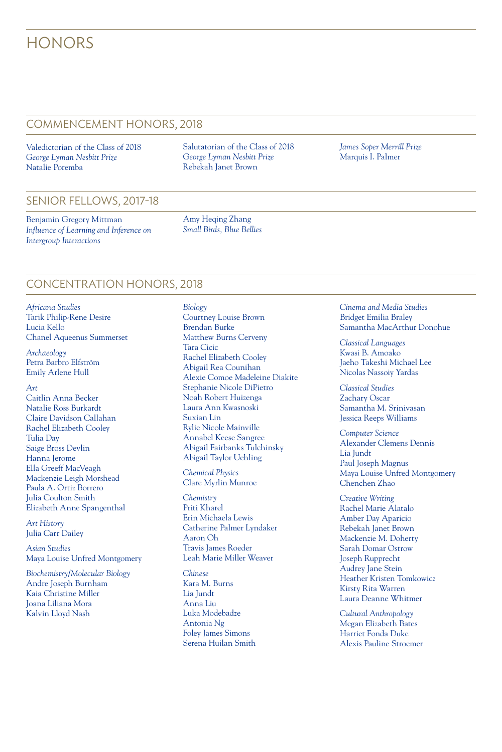# **HONORS**

## COMMENCEMENT HONORS, 2018

Valedictorian of the Class of 2018 *George Lyman Nesbitt Prize* Natalie Poremba

Salutatorian of the Class of 2018 *George Lyman Nesbitt Prize* Rebekah Janet Brown

*James Soper Merrill Prize* Marquis I. Palmer

#### SENIOR FELLOWS, 2017-18

Benjamin Gregory Mittman *Influence of Learning and Inference on Intergroup Interactions*

Amy Heqing Zhang *Small Birds, Blue Bellies*

## CONCENTRATION HONORS, 2018

*Africana Studies* Tarik Philip-Rene Desire Lucia Kello Chanel Aqueenus Summerset

*Archaeology* Petra Barbro Elfström Emily Arlene Hull

#### *Art*

Caitlin Anna Becker Natalie Ross Burkardt Claire Davidson Callahan Rachel Elizabeth Cooley Tulia Day Saige Bross Devlin Hanna Jerome Ella Greeff MacVeagh Mackenzie Leigh Morshead Paula A. Ortiz Borrero Julia Coulton Smith Elizabeth Anne Spangenthal

*Art History* Julia Carr Dailey

*Asian Studies* Maya Louise Unfred Montgomery

*Biochemistry/Molecular Biology* Andre Joseph Burnham Kaia Christine Miller Joana Liliana Mora Kalvin Lloyd Nash

*Biology* Courtney Louise Brown Brendan Burke Matthew Burns Cerveny Tara Cicic Rachel Elizabeth Cooley Abigail Rea Counihan Alexie Comoe Madeleine Diakite Stephanie Nicole DiPietro Noah Robert Huizenga Laura Ann Kwasnoski Suxian Lin Rylie Nicole Mainville Annabel Keese Sangree Abigail Fairbanks Tulchinsky Abigail Taylor Uehling

*Chemical Physics* Clare Myrlin Munroe

*Chemistry* Priti Kharel Erin Michaela Lewis Catherine Palmer Lyndaker Aaron Oh Travis James Roeder Leah Marie Miller Weaver

*Chinese* Kara M. Burns Lia Jundt Anna Liu Luka Modebadze Antonia Ng Foley James Simons Serena Huilan Smith *Cinema and Media Studies* Bridget Emilia Braley Samantha MacArthur Donohue

*Classical Languages* Kwasi B. Amoako Jaeho Takeshi Michael Lee Nicolas Nassoiy Yardas

*Classical Studies* Zachary Oscar Samantha M. Srinivasan Jessica Reeps Williams

*Computer Science* Alexander Clemens Dennis Lia Jundt Paul Joseph Magnus Maya Louise Unfred Montgomery Chenchen Zhao

*Creative Writing* Rachel Marie Alatalo Amber Day Aparicio Rebekah Janet Brown Mackenzie M. Doherty Sarah Domar Ostrow Joseph Rupprecht Audrey Jane Stein Heather Kristen Tomkowicz Kirsty Rita Warren Laura Deanne Whitmer

*Cultural Anthropology* Megan Elizabeth Bates Harriet Fonda Duke Alexis Pauline Stroemer